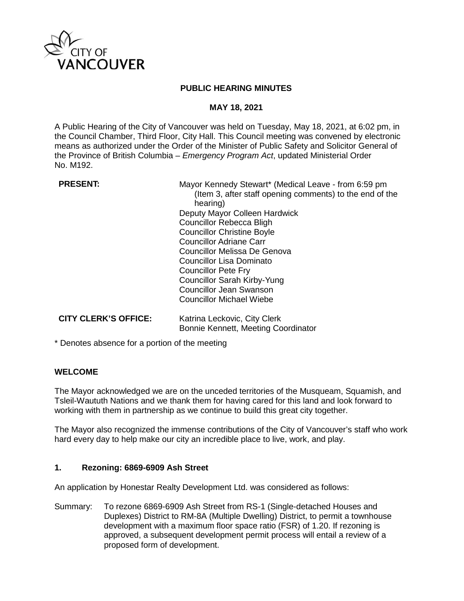

### **PUBLIC HEARING MINUTES**

### **MAY 18, 2021**

A Public Hearing of the City of Vancouver was held on Tuesday, May 18, 2021, at 6:02 pm, in the Council Chamber, Third Floor, City Hall. This Council meeting was convened by electronic means as authorized under the Order of the Minister of Public Safety and Solicitor General of the Province of British Columbia – *Emergency Program Act*, updated Ministerial Order No. M192.

**PRESENT:** Mayor Kennedy Stewart\* (Medical Leave - from 6:59 pm (Item 3, after staff opening comments) to the end of the hearing) Deputy Mayor Colleen Hardwick Councillor Rebecca Bligh Councillor Christine Boyle Councillor Adriane Carr Councillor Melissa De Genova Councillor Lisa Dominato Councillor Pete Fry Councillor Sarah Kirby-Yung Councillor Jean Swanson Councillor Michael Wiebe

#### **CITY CLERK'S OFFICE:** Katrina Leckovic, City Clerk Bonnie Kennett, Meeting Coordinator

\* Denotes absence for a portion of the meeting

## **WELCOME**

The Mayor acknowledged we are on the unceded territories of the Musqueam, Squamish, and Tsleil-Waututh Nations and we thank them for having cared for this land and look forward to working with them in partnership as we continue to build this great city together.

The Mayor also recognized the immense contributions of the City of Vancouver's staff who work hard every day to help make our city an incredible place to live, work, and play.

## **1. Rezoning: 6869-6909 Ash Street**

An application by Honestar Realty Development Ltd. was considered as follows:

Summary: To rezone 6869-6909 Ash Street from RS-1 (Single-detached Houses and Duplexes) District to RM-8A (Multiple Dwelling) District, to permit a townhouse development with a maximum floor space ratio (FSR) of 1.20. If rezoning is approved, a subsequent development permit process will entail a review of a proposed form of development.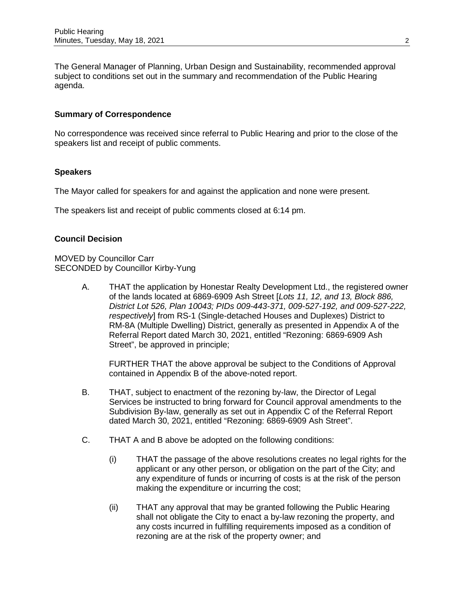The General Manager of Planning, Urban Design and Sustainability, recommended approval subject to conditions set out in the summary and recommendation of the Public Hearing agenda.

## **Summary of Correspondence**

No correspondence was received since referral to Public Hearing and prior to the close of the speakers list and receipt of public comments.

## **Speakers**

The Mayor called for speakers for and against the application and none were present.

The speakers list and receipt of public comments closed at 6:14 pm.

## **Council Decision**

MOVED by Councillor Carr SECONDED by Councillor Kirby-Yung

> A. THAT the application by Honestar Realty Development Ltd., the registered owner of the lands located at 6869-6909 Ash Street [*Lots 11, 12, and 13, Block 886, District Lot 526, Plan 10043; PIDs 009-443-371, 009-527-192, and 009-527-222, respectively*] from RS-1 (Single-detached Houses and Duplexes) District to RM-8A (Multiple Dwelling) District, generally as presented in Appendix A of the Referral Report dated March 30, 2021, entitled "Rezoning: 6869-6909 Ash Street", be approved in principle;

FURTHER THAT the above approval be subject to the Conditions of Approval contained in Appendix B of the above-noted report.

- B. THAT, subject to enactment of the rezoning by-law, the Director of Legal Services be instructed to bring forward for Council approval amendments to the Subdivision By-law, generally as set out in Appendix C of the Referral Report dated March 30, 2021, entitled "Rezoning: 6869-6909 Ash Street".
- C. THAT A and B above be adopted on the following conditions:
	- (i) THAT the passage of the above resolutions creates no legal rights for the applicant or any other person, or obligation on the part of the City; and any expenditure of funds or incurring of costs is at the risk of the person making the expenditure or incurring the cost;
	- (ii) THAT any approval that may be granted following the Public Hearing shall not obligate the City to enact a by-law rezoning the property, and any costs incurred in fulfilling requirements imposed as a condition of rezoning are at the risk of the property owner; and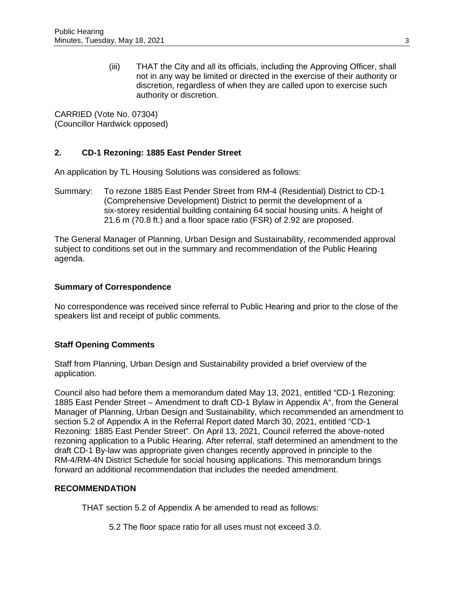(iii) THAT the City and all its officials, including the Approving Officer, shall not in any way be limited or directed in the exercise of their authority or discretion, regardless of when they are called upon to exercise such authority or discretion.

CARRIED (Vote No. 07304) (Councillor Hardwick opposed)

# **2. CD-1 Rezoning: 1885 East Pender Street**

An application by TL Housing Solutions was considered as follows:

Summary: To rezone 1885 East Pender Street from RM-4 (Residential) District to CD-1 (Comprehensive Development) District to permit the development of a six-storey residential building containing 64 social housing units. A height of 21.6 m (70.8 ft.) and a floor space ratio (FSR) of 2.92 are proposed.

The General Manager of Planning, Urban Design and Sustainability, recommended approval subject to conditions set out in the summary and recommendation of the Public Hearing agenda.

## **Summary of Correspondence**

No correspondence was received since referral to Public Hearing and prior to the close of the speakers list and receipt of public comments.

## **Staff Opening Comments**

Staff from Planning, Urban Design and Sustainability provided a brief overview of the application.

Council also had before them a memorandum dated May 13, 2021, entitled "CD-1 Rezoning: 1885 East Pender Street – Amendment to draft CD-1 Bylaw in Appendix A", from the General Manager of Planning, Urban Design and Sustainability, which recommended an amendment to section 5.2 of Appendix A in the Referral Report dated March 30, 2021, entitled "CD-1 Rezoning: 1885 East Pender Street". On April 13, 2021, Council referred the above-noted rezoning application to a Public Hearing. After referral, staff determined an amendment to the draft CD-1 By-law was appropriate given changes recently approved in principle to the RM-4/RM-4N District Schedule for social housing applications. This memorandum brings forward an additional recommendation that includes the needed amendment.

### **RECOMMENDATION**

THAT section 5.2 of Appendix A be amended to read as follows:

5.2 The floor space ratio for all uses must not exceed 3.0.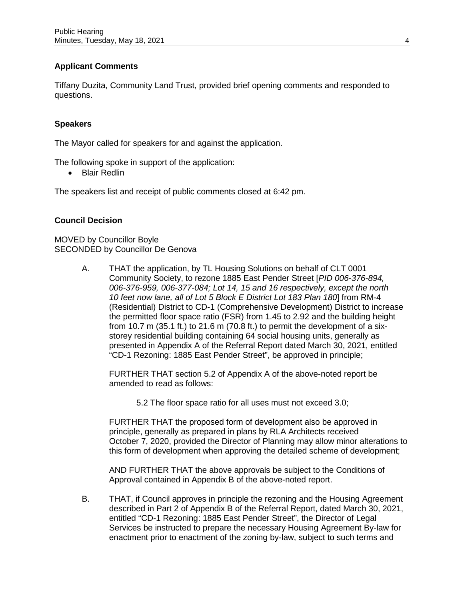# **Applicant Comments**

Tiffany Duzita, Community Land Trust, provided brief opening comments and responded to questions.

## **Speakers**

The Mayor called for speakers for and against the application.

The following spoke in support of the application:

• Blair Redlin

The speakers list and receipt of public comments closed at 6:42 pm.

## **Council Decision**

MOVED by Councillor Boyle SECONDED by Councillor De Genova

> A. THAT the application, by TL Housing Solutions on behalf of CLT 0001 Community Society, to rezone 1885 East Pender Street [*PID 006-376-894, 006-376-959, 006-377-084; Lot 14, 15 and 16 respectively, except the north 10 feet now lane, all of Lot 5 Block E District Lot 183 Plan 180*] from RM-4 (Residential) District to CD-1 (Comprehensive Development) District to increase the permitted floor space ratio (FSR) from 1.45 to 2.92 and the building height from 10.7 m (35.1 ft.) to 21.6 m (70.8 ft.) to permit the development of a sixstorey residential building containing 64 social housing units, generally as presented in Appendix A of the Referral Report dated March 30, 2021, entitled "CD-1 Rezoning: 1885 East Pender Street", be approved in principle;

FURTHER THAT section 5.2 of Appendix A of the above-noted report be amended to read as follows:

5.2 The floor space ratio for all uses must not exceed 3.0;

FURTHER THAT the proposed form of development also be approved in principle, generally as prepared in plans by RLA Architects received October 7, 2020, provided the Director of Planning may allow minor alterations to this form of development when approving the detailed scheme of development;

AND FURTHER THAT the above approvals be subject to the Conditions of Approval contained in Appendix B of the above-noted report.

B. THAT, if Council approves in principle the rezoning and the Housing Agreement described in Part 2 of Appendix B of the Referral Report, dated March 30, 2021, entitled "CD-1 Rezoning: 1885 East Pender Street", the Director of Legal Services be instructed to prepare the necessary Housing Agreement By-law for enactment prior to enactment of the zoning by-law, subject to such terms and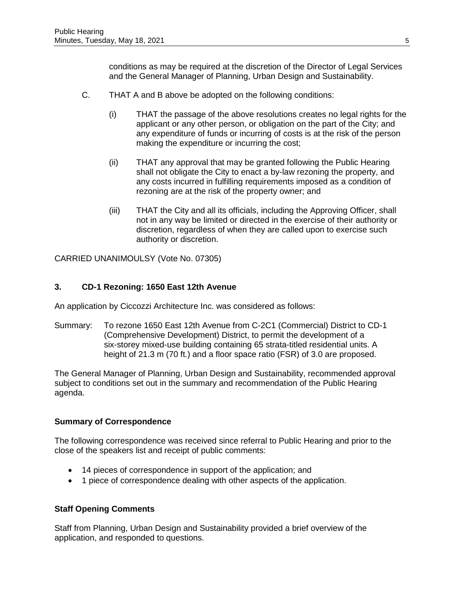conditions as may be required at the discretion of the Director of Legal Services and the General Manager of Planning, Urban Design and Sustainability.

- C. THAT A and B above be adopted on the following conditions:
	- (i) THAT the passage of the above resolutions creates no legal rights for the applicant or any other person, or obligation on the part of the City; and any expenditure of funds or incurring of costs is at the risk of the person making the expenditure or incurring the cost;
	- (ii) THAT any approval that may be granted following the Public Hearing shall not obligate the City to enact a by-law rezoning the property, and any costs incurred in fulfilling requirements imposed as a condition of rezoning are at the risk of the property owner; and
	- (iii) THAT the City and all its officials, including the Approving Officer, shall not in any way be limited or directed in the exercise of their authority or discretion, regardless of when they are called upon to exercise such authority or discretion.

CARRIED UNANIMOULSY (Vote No. 07305)

## **3. CD-1 Rezoning: 1650 East 12th Avenue**

An application by Ciccozzi Architecture Inc. was considered as follows:

Summary: To rezone 1650 East 12th Avenue from C-2C1 (Commercial) District to CD-1 (Comprehensive Development) District, to permit the development of a six-storey mixed-use building containing 65 strata-titled residential units. A height of 21.3 m (70 ft.) and a floor space ratio (FSR) of 3.0 are proposed.

The General Manager of Planning, Urban Design and Sustainability, recommended approval subject to conditions set out in the summary and recommendation of the Public Hearing agenda.

### **Summary of Correspondence**

The following correspondence was received since referral to Public Hearing and prior to the close of the speakers list and receipt of public comments:

- 14 pieces of correspondence in support of the application; and
- 1 piece of correspondence dealing with other aspects of the application.

### **Staff Opening Comments**

Staff from Planning, Urban Design and Sustainability provided a brief overview of the application, and responded to questions.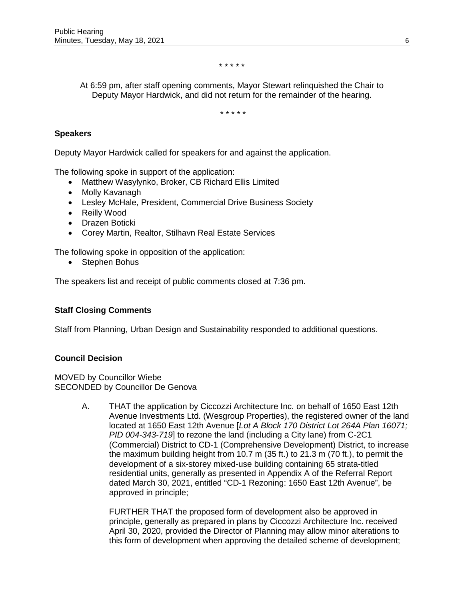\* \* \* \* \*

At 6:59 pm, after staff opening comments, Mayor Stewart relinquished the Chair to Deputy Mayor Hardwick, and did not return for the remainder of the hearing.

\* \* \* \* \*

## **Speakers**

Deputy Mayor Hardwick called for speakers for and against the application.

The following spoke in support of the application:

- Matthew Wasylynko, Broker, CB Richard Ellis Limited
- Molly Kavanagh
- Lesley McHale, President, Commercial Drive Business Society
- Reilly Wood
- Drazen Boticki
- Corey Martin, Realtor, Stilhavn Real Estate Services

The following spoke in opposition of the application:

• Stephen Bohus

The speakers list and receipt of public comments closed at 7:36 pm.

## **Staff Closing Comments**

Staff from Planning, Urban Design and Sustainability responded to additional questions.

### **Council Decision**

MOVED by Councillor Wiebe SECONDED by Councillor De Genova

> A. THAT the application by Ciccozzi Architecture Inc. on behalf of 1650 East 12th Avenue Investments Ltd. (Wesgroup Properties), the registered owner of the land located at 1650 East 12th Avenue [*Lot A Block 170 District Lot 264A Plan 16071; PID 004-343-719*] to rezone the land (including a City lane) from C-2C1 (Commercial) District to CD-1 (Comprehensive Development) District, to increase the maximum building height from 10.7 m (35 ft.) to 21.3 m (70 ft.), to permit the development of a six-storey mixed-use building containing 65 strata-titled residential units, generally as presented in Appendix A of the Referral Report dated March 30, 2021, entitled "CD-1 Rezoning: 1650 East 12th Avenue", be approved in principle;

FURTHER THAT the proposed form of development also be approved in principle, generally as prepared in plans by Ciccozzi Architecture Inc. received April 30, 2020, provided the Director of Planning may allow minor alterations to this form of development when approving the detailed scheme of development;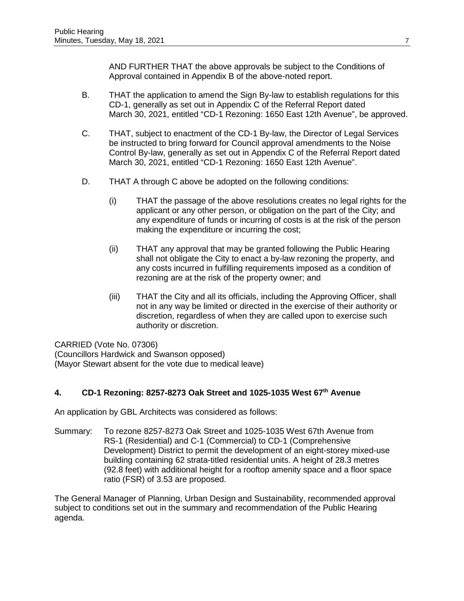AND FURTHER THAT the above approvals be subject to the Conditions of Approval contained in Appendix B of the above-noted report.

- B. THAT the application to amend the Sign By-law to establish regulations for this CD-1, generally as set out in Appendix C of the Referral Report dated March 30, 2021, entitled "CD-1 Rezoning: 1650 East 12th Avenue", be approved.
- C. THAT, subject to enactment of the CD-1 By-law, the Director of Legal Services be instructed to bring forward for Council approval amendments to the Noise Control By-law, generally as set out in Appendix C of the Referral Report dated March 30, 2021, entitled "CD-1 Rezoning: 1650 East 12th Avenue".
- D. THAT A through C above be adopted on the following conditions:
	- (i) THAT the passage of the above resolutions creates no legal rights for the applicant or any other person, or obligation on the part of the City; and any expenditure of funds or incurring of costs is at the risk of the person making the expenditure or incurring the cost;
	- (ii) THAT any approval that may be granted following the Public Hearing shall not obligate the City to enact a by-law rezoning the property, and any costs incurred in fulfilling requirements imposed as a condition of rezoning are at the risk of the property owner; and
	- (iii) THAT the City and all its officials, including the Approving Officer, shall not in any way be limited or directed in the exercise of their authority or discretion, regardless of when they are called upon to exercise such authority or discretion.

CARRIED (Vote No. 07306) (Councillors Hardwick and Swanson opposed) (Mayor Stewart absent for the vote due to medical leave)

# **4. CD-1 Rezoning: 8257-8273 Oak Street and 1025-1035 West 67th Avenue**

An application by GBL Architects was considered as follows:

Summary: To rezone 8257-8273 Oak Street and 1025-1035 West 67th Avenue from RS-1 (Residential) and C-1 (Commercial) to CD-1 (Comprehensive Development) District to permit the development of an eight-storey mixed-use building containing 62 strata-titled residential units. A height of 28.3 metres (92.8 feet) with additional height for a rooftop amenity space and a floor space ratio (FSR) of 3.53 are proposed.

The General Manager of Planning, Urban Design and Sustainability, recommended approval subject to conditions set out in the summary and recommendation of the Public Hearing agenda.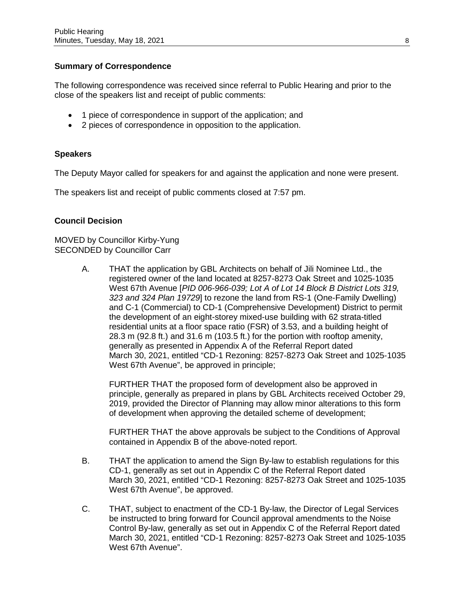## **Summary of Correspondence**

The following correspondence was received since referral to Public Hearing and prior to the close of the speakers list and receipt of public comments:

- 1 piece of correspondence in support of the application; and
- 2 pieces of correspondence in opposition to the application.

## **Speakers**

The Deputy Mayor called for speakers for and against the application and none were present.

The speakers list and receipt of public comments closed at 7:57 pm.

## **Council Decision**

MOVED by Councillor Kirby-Yung SECONDED by Councillor Carr

> A. THAT the application by GBL Architects on behalf of Jili Nominee Ltd., the registered owner of the land located at 8257-8273 Oak Street and 1025-1035 West 67th Avenue [*PID 006-966-039; Lot A of Lot 14 Block B District Lots 319, 323 and 324 Plan 19729*] to rezone the land from RS-1 (One-Family Dwelling) and C-1 (Commercial) to CD-1 (Comprehensive Development) District to permit the development of an eight-storey mixed-use building with 62 strata-titled residential units at a floor space ratio (FSR) of 3.53, and a building height of 28.3 m (92.8 ft.) and 31.6 m (103.5 ft.) for the portion with rooftop amenity, generally as presented in Appendix A of the Referral Report dated March 30, 2021, entitled "CD-1 Rezoning: 8257-8273 Oak Street and 1025-1035 West 67th Avenue", be approved in principle;

FURTHER THAT the proposed form of development also be approved in principle, generally as prepared in plans by GBL Architects received October 29, 2019, provided the Director of Planning may allow minor alterations to this form of development when approving the detailed scheme of development;

FURTHER THAT the above approvals be subject to the Conditions of Approval contained in Appendix B of the above-noted report.

- B. THAT the application to amend the Sign By-law to establish regulations for this CD-1, generally as set out in Appendix C of the Referral Report dated March 30, 2021, entitled "CD-1 Rezoning: 8257-8273 Oak Street and 1025-1035 West 67th Avenue", be approved.
- C. THAT, subject to enactment of the CD-1 By-law, the Director of Legal Services be instructed to bring forward for Council approval amendments to the Noise Control By-law, generally as set out in Appendix C of the Referral Report dated March 30, 2021, entitled "CD-1 Rezoning: 8257-8273 Oak Street and 1025-1035 West 67th Avenue".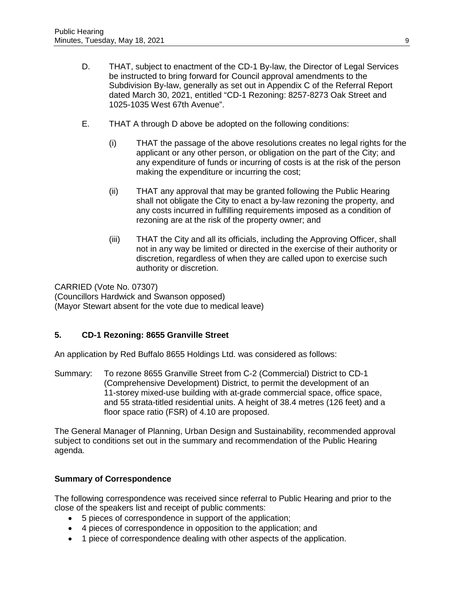- D. THAT, subject to enactment of the CD-1 By-law, the Director of Legal Services be instructed to bring forward for Council approval amendments to the Subdivision By-law, generally as set out in Appendix C of the Referral Report dated March 30, 2021, entitled "CD-1 Rezoning: 8257-8273 Oak Street and 1025-1035 West 67th Avenue".
- E. THAT A through D above be adopted on the following conditions:
	- (i) THAT the passage of the above resolutions creates no legal rights for the applicant or any other person, or obligation on the part of the City; and any expenditure of funds or incurring of costs is at the risk of the person making the expenditure or incurring the cost;
	- (ii) THAT any approval that may be granted following the Public Hearing shall not obligate the City to enact a by-law rezoning the property, and any costs incurred in fulfilling requirements imposed as a condition of rezoning are at the risk of the property owner; and
	- (iii) THAT the City and all its officials, including the Approving Officer, shall not in any way be limited or directed in the exercise of their authority or discretion, regardless of when they are called upon to exercise such authority or discretion.

CARRIED (Vote No. 07307) (Councillors Hardwick and Swanson opposed) (Mayor Stewart absent for the vote due to medical leave)

## **5. CD-1 Rezoning: 8655 Granville Street**

An application by Red Buffalo 8655 Holdings Ltd. was considered as follows:

Summary: To rezone 8655 Granville Street from C-2 (Commercial) District to CD-1 (Comprehensive Development) District, to permit the development of an 11-storey mixed-use building with at-grade commercial space, office space, and 55 strata-titled residential units. A height of 38.4 metres (126 feet) and a floor space ratio (FSR) of 4.10 are proposed.

The General Manager of Planning, Urban Design and Sustainability, recommended approval subject to conditions set out in the summary and recommendation of the Public Hearing agenda.

## **Summary of Correspondence**

The following correspondence was received since referral to Public Hearing and prior to the close of the speakers list and receipt of public comments:

- 5 pieces of correspondence in support of the application;
- 4 pieces of correspondence in opposition to the application; and
- 1 piece of correspondence dealing with other aspects of the application.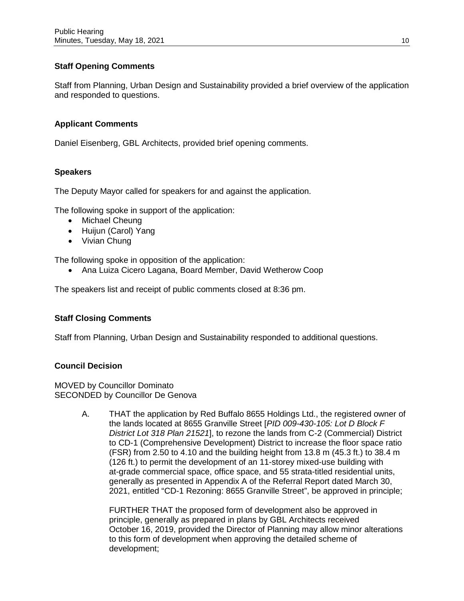# **Staff Opening Comments**

Staff from Planning, Urban Design and Sustainability provided a brief overview of the application and responded to questions.

## **Applicant Comments**

Daniel Eisenberg, GBL Architects, provided brief opening comments.

## **Speakers**

The Deputy Mayor called for speakers for and against the application.

The following spoke in support of the application:

- Michael Cheung
- Huijun (Carol) Yang
- Vivian Chung

The following spoke in opposition of the application:

• Ana Luiza Cicero Lagana, Board Member, David Wetherow Coop

The speakers list and receipt of public comments closed at 8:36 pm.

## **Staff Closing Comments**

Staff from Planning, Urban Design and Sustainability responded to additional questions.

### **Council Decision**

MOVED by Councillor Dominato SECONDED by Councillor De Genova

> A. THAT the application by Red Buffalo 8655 Holdings Ltd., the registered owner of the lands located at 8655 Granville Street [*PID 009-430-105: Lot D Block F District Lot 318 Plan 21521*], to rezone the lands from C-2 (Commercial) District to CD-1 (Comprehensive Development) District to increase the floor space ratio (FSR) from 2.50 to 4.10 and the building height from 13.8 m (45.3 ft.) to 38.4 m (126 ft.) to permit the development of an 11-storey mixed-use building with at-grade commercial space, office space, and 55 strata-titled residential units, generally as presented in Appendix A of the Referral Report dated March 30, 2021, entitled "CD-1 Rezoning: 8655 Granville Street", be approved in principle;

FURTHER THAT the proposed form of development also be approved in principle, generally as prepared in plans by GBL Architects received October 16, 2019, provided the Director of Planning may allow minor alterations to this form of development when approving the detailed scheme of development;